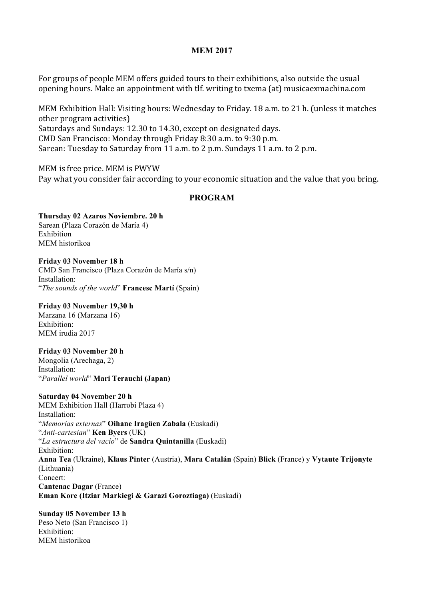### **MEM 2017**

For groups of people MEM offers guided tours to their exhibitions, also outside the usual opening hours. Make an appointment with tlf. writing to txema (at) musicaexmachina.com

MEM Exhibition Hall: Visiting hours: Wednesday to Friday. 18 a.m. to 21 h. (unless it matches other program activities) Saturdays and Sundays: 12.30 to 14.30, except on designated days. CMD San Francisco: Monday through Friday 8:30 a.m. to 9:30 p.m. Sarean: Tuesday to Saturday from 11 a.m. to 2 p.m. Sundays 11 a.m. to 2 p.m.

MEM is free price. MEM is PWYW Pay what you consider fair according to your economic situation and the value that you bring.

### **PROGRAM**

**Thursday 02 Azaros Noviembre. 20 h** Sarean (Plaza Corazón de María 4) Exhibition MEM historikoa

**Friday 03 November 18 h** CMD San Francisco (Plaza Corazón de María s/n) Installation: "*The sounds of the world*" **Francesc Martí** (Spain)

**Friday 03 November 19,30 h**

Marzana 16 (Marzana 16) Exhibition: MEM irudia 2017

# **Friday 03 November 20 h**

Mongolia (Arechaga, 2) Installation: "*Parallel world*" **Mari Terauchi (Japan)**

## **Saturday 04 November 20 h**

MEM Exhibition Hall (Harrobi Plaza 4) Installation: "*Memorias externas*" **Oihane Iragüen Zabala** (Euskadi) "*Anti-cartesian*" **Ken Byers** (UK) "*La estructura del vacío*" de **Sandra Quintanilla** (Euskadi) Exhibition: **Anna Tea** (Ukraine), **Klaus Pinter** (Austria), **Mara Catalán** (Spain) **Blick** (France) y **Vytaute Trijonyte** (Lithuania) Concert: **Cantenac Dagar** (France) **Eman Kore (Itziar Markiegi & Garazi Goroztiaga)** (Euskadi)

**Sunday 05 November 13 h** Peso Neto (San Francisco 1) Exhibition: MEM historikoa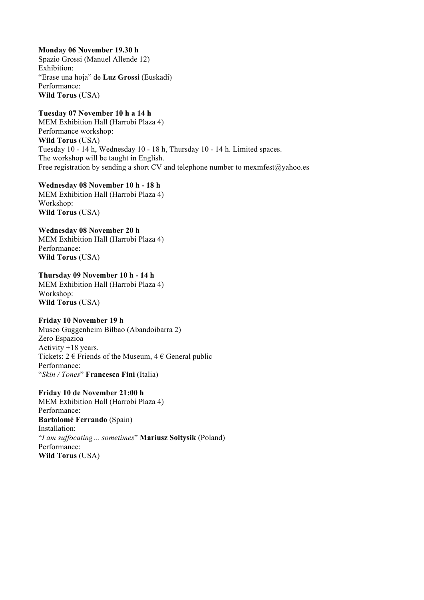**Monday 06 November 19.30 h** Spazio Grossi (Manuel Allende 12) Exhibition: "Erase una hoja" de **Luz Grossi** (Euskadi)

Performance: **Wild Torus** (USA)

**Tuesday 07 November 10 h a 14 h** MEM Exhibition Hall (Harrobi Plaza 4) Performance workshop: **Wild Torus** (USA)

Tuesday 10 - 14 h, Wednesday 10 - 18 h, Thursday 10 - 14 h. Limited spaces. The workshop will be taught in English. Free registration by sending a short CV and telephone number to mexmfest $@y$ ahoo.es

**Wednesday 08 November 10 h - 18 h** MEM Exhibition Hall (Harrobi Plaza 4) Workshop: **Wild Torus** (USA)

**Wednesday 08 November 20 h** MEM Exhibition Hall (Harrobi Plaza 4) Performance: **Wild Torus** (USA)

**Thursday 09 November 10 h - 14 h** MEM Exhibition Hall (Harrobi Plaza 4) Workshop: **Wild Torus** (USA)

## **Friday 10 November 19 h**

Museo Guggenheim Bilbao (Abandoibarra 2) Zero Espazioa Activity +18 years. Tickets:  $2 \in$  Friends of the Museum,  $4 \in$  General public Performance: "*Skin / Tones*" **Francesca Fini** (Italia)

#### **Friday 10 de November 21:00 h**

MEM Exhibition Hall (Harrobi Plaza 4) Performance: **Bartolomé Ferrando** (Spain) Installation: "*I am suffocating… sometimes*" **Mariusz Soltysik** (Poland) Performance: **Wild Torus** (USA)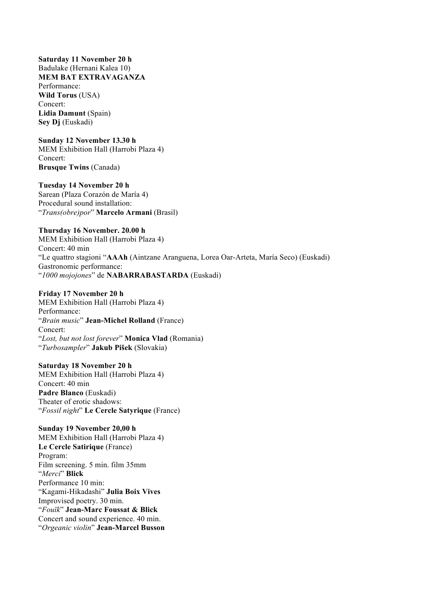**Saturday 11 November 20 h** Badulake (Hernani Kalea 10) **MEM BAT EXTRAVAGANZA** Performance: **Wild Torus** (USA) Concert: **Lidia Damunt** (Spain) **Sey Dj** (Euskadi)

#### **Sunday 12 November 13.30 h**

MEM Exhibition Hall (Harrobi Plaza 4) Concert: **Brusque Twins** (Canada)

### **Tuesday 14 November 20 h**

Sarean (Plaza Corazón de María 4) Procedural sound installation: "*Trans(obre)por*" **Marcelo Armani** (Brasil)

#### **Thursday 16 November. 20.00 h**

MEM Exhibition Hall (Harrobi Plaza 4) Concert: 40 min "Le quattro stagioni "**AAAh** (Aintzane Aranguena, Lorea Oar-Arteta, María Seco) (Euskadi) Gastronomic performance: "*1000 mojojones*" de **NABARRABASTARDA** (Euskadi)

#### **Friday 17 November 20 h**

MEM Exhibition Hall (Harrobi Plaza 4) Performance: "*Brain music*" **Jean-Michel Rolland** (France) Concert: "*Lost, but not lost forever*" **Monica Vlad** (Romania) "*Turbosampler*" **Jakub Pišek** (Slovakia)

**Saturday 18 November 20 h**

MEM Exhibition Hall (Harrobi Plaza 4) Concert: 40 min **Padre Blanco** (Euskadi) Theater of erotic shadows: "*Fossil night*" **Le Cercle Satyrique** (France)

**Sunday 19 November 20,00 h** MEM Exhibition Hall (Harrobi Plaza 4) **Le Cercle Satirique** (France) Program: Film screening. 5 min. film 35mm "*Merci*" **Blick** Performance 10 min: "Kagami-Hikadashi" **Julia Boix Vives** Improvised poetry. 30 min. "*Fouïk*" **Jean-Marc Foussat & Blick** Concert and sound experience. 40 min. "*Orgeanic violin*" **Jean-Marcel Busson**